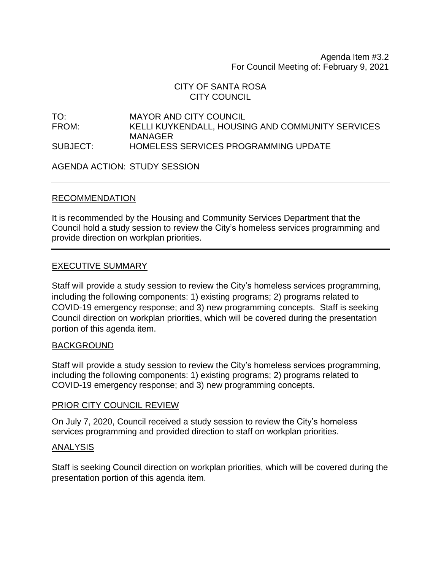Agenda Item #3.2 For Council Meeting of: February 9, 2021

# CITY OF SANTA ROSA CITY COUNCIL

TO: MAYOR AND CITY COUNCIL FROM: KELLI KUYKENDALL, HOUSING AND COMMUNITY SERVICES MANAGER SUBJECT: HOMELESS SERVICES PROGRAMMING UPDATE

AGENDA ACTION: STUDY SESSION

### RECOMMENDATION

It is recommended by the Housing and Community Services Department that the Council hold a study session to review the City's homeless services programming and provide direction on workplan priorities.

### EXECUTIVE SUMMARY

Staff will provide a study session to review the City's homeless services programming, including the following components: 1) existing programs; 2) programs related to COVID-19 emergency response; and 3) new programming concepts. Staff is seeking Council direction on workplan priorities, which will be covered during the presentation portion of this agenda item.

### BACKGROUND

Staff will provide a study session to review the City's homeless services programming, including the following components: 1) existing programs; 2) programs related to COVID-19 emergency response; and 3) new programming concepts.

### PRIOR CITY COUNCIL REVIEW

On July 7, 2020, Council received a study session to review the City's homeless services programming and provided direction to staff on workplan priorities.

#### ANALYSIS

Staff is seeking Council direction on workplan priorities, which will be covered during the presentation portion of this agenda item.